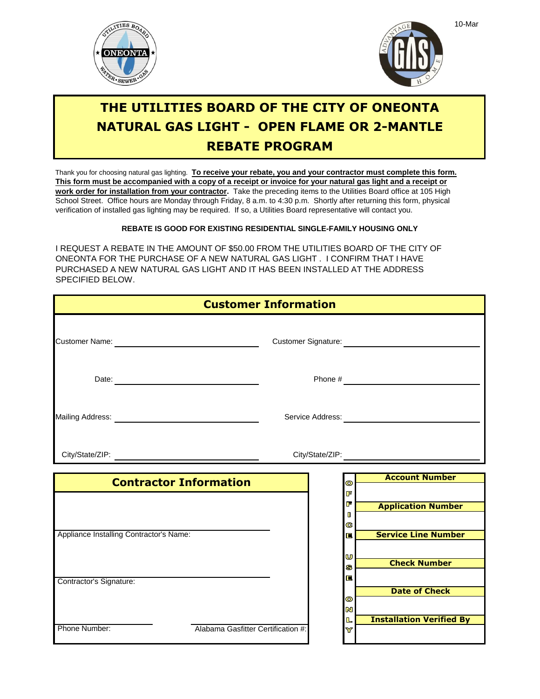



## **THE UTILITIES BOARD OF THE CITY OF ONEONTA NATURAL GAS LIGHT - OPEN FLAME OR 2-MANTLE REBATE PROGRAM**

Thank you for choosing natural gas lighting. **To receive your rebate, you and your contractor must complete this form.** verification of installed gas lighting may be required. If so, a Utilities Board representative will contact you. School Street. Office hours are Monday through Friday, 8 a.m. to 4:30 p.m. Shortly after returning this form, physical **work order for installation from your contractor.** Take the preceding items to the Utilities Board office at 105 High **This form must be accompanied with a copy of a receipt or invoice for your natural gas light and a receipt or**

## **REBATE IS GOOD FOR EXISTING RESIDENTIAL SINGLE-FAMILY HOUSING ONLY**

I REQUEST A REBATE IN THE AMOUNT OF \$50.00 FROM THE UTILITIES BOARD OF THE CITY OF ONEONTA FOR THE PURCHASE OF A NEW NATURAL GAS LIGHT . I CONFIRM THAT I HAVE PURCHASED A NEW NATURAL GAS LIGHT AND IT HAS BEEN INSTALLED AT THE ADDRESS SPECIFIED BELOW.

| <b>Customer Information</b>                                                                               |                                    |  |                                     |  |                                 |
|-----------------------------------------------------------------------------------------------------------|------------------------------------|--|-------------------------------------|--|---------------------------------|
|                                                                                                           |                                    |  |                                     |  |                                 |
|                                                                                                           |                                    |  |                                     |  |                                 |
| Mailing Address: National Address: National Address: National Address: National Address: National Address |                                    |  | Service Address: __________________ |  |                                 |
|                                                                                                           |                                    |  |                                     |  |                                 |
|                                                                                                           | <b>Contractor Information</b>      |  | $\bullet$                           |  | <b>Account Number</b>           |
|                                                                                                           |                                    |  | F<br>F<br>$\blacksquare$<br>C       |  | <b>Application Number</b>       |
| Appliance Installing Contractor's Name:                                                                   |                                    |  | 扈<br>U                              |  | <b>Service Line Number</b>      |
| Contractor's Signature:                                                                                   |                                    |  | S<br>E                              |  | <b>Check Number</b>             |
|                                                                                                           |                                    |  | $\bullet$<br>$\mathbf{z}$           |  | <b>Date of Check</b>            |
| Phone Number:                                                                                             | Alabama Gasfitter Certification #: |  | L<br>Y                              |  | <b>Installation Verified By</b> |